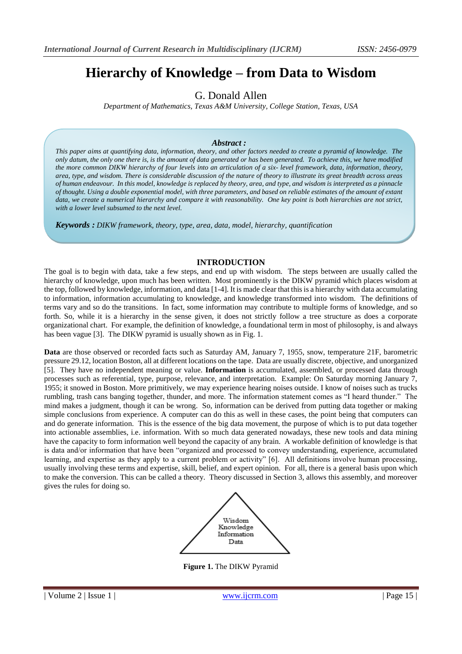# **Hierarchy of Knowledge – from Data to Wisdom**

## G. Donald Allen

*Department of Mathematics, Texas A&M University, College Station, Texas, USA*

#### *Abstract :*

*This paper aims at quantifying data, information, theory, and other factors needed to create a pyramid of knowledge. The only datum, the only one there is, is the amount of data generated or has been generated. To achieve this, we have modified the more common DIKW hierarchy of four levels into an articulation of a six- level framework, data, information, theory, area, type, and wisdom. There is considerable discussion of the nature of theory to illustrate its great breadth across areas of human endeavour. In this model, knowledge is replaced by theory, area, and type, and wisdom is interpreted as a pinnacle of thought. Using a double exponential model, with three parameters, and based on reliable estimates of the amount of extant data, we create a numerical hierarchy and compare it with reasonability. One key point is both hierarchies are not strict, with a lower level subsumed to the next level.* 

*Keywords : DIKW framework, theory, type, area, data, model, hierarchy, quantification*

#### **INTRODUCTION**

The goal is to begin with data, take a few steps, and end up with wisdom. The steps between are usually called the hierarchy of knowledge, upon much has been written. Most prominently is the DIKW pyramid which places wisdom at the top, followed by knowledge, information, and data [1-4]. It is made clear that this is a hierarchy with data accumulating to information, information accumulating to knowledge, and knowledge transformed into wisdom. The definitions of terms vary and so do the transitions. In fact, some information may contribute to multiple forms of knowledge, and so forth. So, while it is a hierarchy in the sense given, it does not strictly follow a tree structure as does a corporate organizational chart. For example, the definition of knowledge, a foundational term in most of philosophy, is and always has been vague [3]. The DIKW pyramid is usually shown as in Fig. 1.

**Data** are those observed or recorded facts such as Saturday AM, January 7, 1955, snow, temperature 21F, barometric pressure 29.12, location Boston, all at different locations on the tape. Data are usually discrete, objective, and unorganized [5]. They have no independent meaning or value. **Information** is accumulated, assembled, or processed data through processes such as referential, type, purpose, relevance, and interpretation. Example: On Saturday morning January 7, 1955; it snowed in Boston. More primitively, we may experience hearing noises outside. I know of noises such as trucks rumbling, trash cans banging together, thunder, and more. The information statement comes as "I heard thunder." The mind makes a judgment, though it can be wrong. So, information can be derived from putting data together or making simple conclusions from experience. A computer can do this as well in these cases, the point being that computers can and do generate information. This is the essence of the big data movement, the purpose of which is to put data together into actionable assemblies, i.e. information. With so much data generated nowadays, these new tools and data mining have the capacity to form information well beyond the capacity of any brain. A workable definition of knowledge is that is data and/or information that have been "organized and processed to convey understanding, experience, accumulated learning, and expertise as they apply to a current problem or activity" [6]. All definitions involve human processing, usually involving these terms and expertise, skill, belief, and expert opinion. For all, there is a general basis upon which to make the conversion. This can be called a theory. Theory discussed in Section 3, allows this assembly, and moreover gives the rules for doing so.



**Figure 1.** The DIKW Pyramid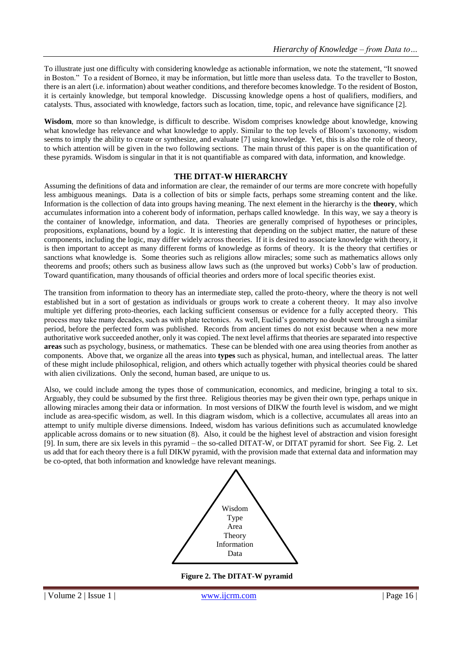To illustrate just one difficulty with considering knowledge as actionable information, we note the statement, "It snowed in Boston." To a resident of Borneo, it may be information, but little more than useless data. To the traveller to Boston, there is an alert (i.e. information) about weather conditions, and therefore becomes knowledge. To the resident of Boston, it is certainly knowledge, but temporal knowledge. Discussing knowledge opens a host of qualifiers, modifiers, and catalysts. Thus, associated with knowledge, factors such as location, time, topic, and relevance have significance [2].

**Wisdom**, more so than knowledge, is difficult to describe. Wisdom comprises knowledge about knowledge, knowing what knowledge has relevance and what knowledge to apply. Similar to the top levels of Bloom's taxonomy, wisdom seems to imply the ability to create or synthesize, and evaluate [7] using knowledge. Yet, this is also the role of theory, to which attention will be given in the two following sections. The main thrust of this paper is on the quantification of these pyramids. Wisdom is singular in that it is not quantifiable as compared with data, information, and knowledge.

#### **THE DITAT-W HIERARCHY**

Assuming the definitions of data and information are clear, the remainder of our terms are more concrete with hopefully less ambiguous meanings. Data is a collection of bits or simple facts, perhaps some streaming content and the like. Information is the collection of data into groups having meaning. The next element in the hierarchy is the **theory**, which accumulates information into a coherent body of information, perhaps called knowledge. In this way, we say a theory is the container of knowledge, information, and data. Theories are generally comprised of hypotheses or principles, propositions, explanations, bound by a logic. It is interesting that depending on the subject matter, the nature of these components, including the logic, may differ widely across theories. If it is desired to associate knowledge with theory, it is then important to accept as many different forms of knowledge as forms of theory. It is the theory that certifies or sanctions what knowledge is. Some theories such as religions allow miracles; some such as mathematics allows only theorems and proofs; others such as business allow laws such as (the unproved but works) Cobb's law of production. Toward quantification, many thousands of official theories and orders more of local specific theories exist.

The transition from information to theory has an intermediate step, called the proto-theory, where the theory is not well established but in a sort of gestation as individuals or groups work to create a coherent theory. It may also involve multiple yet differing proto-theories, each lacking sufficient consensus or evidence for a fully accepted theory. This process may take many decades, such as with plate tectonics. As well, Euclid's geometry no doubt went through a similar period, before the perfected form was published. Records from ancient times do not exist because when a new more authoritative work succeeded another, only it was copied. The next level affirms that theories are separated into respective **areas** such as psychology, business, or mathematics. These can be blended with one area using theories from another as components. Above that, we organize all the areas into **types** such as physical, human, and intellectual areas. The latter of these might include philosophical, religion, and others which actually together with physical theories could be shared with alien civilizations. Only the second, human based, are unique to us.

Also, we could include among the types those of communication, economics, and medicine, bringing a total to six. Arguably, they could be subsumed by the first three. Religious theories may be given their own type, perhaps unique in allowing miracles among their data or information. In most versions of DIKW the fourth level is wisdom, and we might include as area-specific wisdom, as well. In this diagram wisdom, which is a collective, accumulates all areas into an attempt to unify multiple diverse dimensions. Indeed, wisdom has various definitions such as accumulated knowledge applicable across domains or to new situation (8). Also, it could be the highest level of abstraction and vision foresight [9]. In sum, there are six levels in this pyramid – the so-called DITAT-W, or DITAT pyramid for short. See Fig. 2. Let us add that for each theory there is a full DIKW pyramid, with the provision made that external data and information may be co-opted, that both information and knowledge have relevant meanings.



 **Figure 2. The DITAT-W pyramid**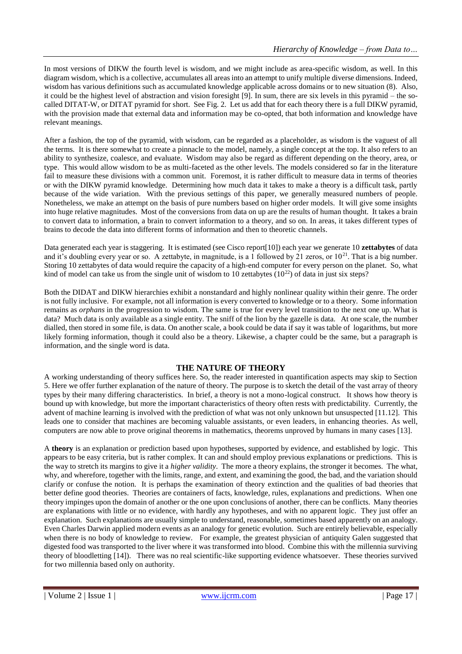In most versions of DIKW the fourth level is wisdom, and we might include as area-specific wisdom, as well. In this diagram wisdom, which is a collective, accumulates all areas into an attempt to unify multiple diverse dimensions. Indeed, wisdom has various definitions such as accumulated knowledge applicable across domains or to new situation (8). Also, it could be the highest level of abstraction and vision foresight [9]. In sum, there are six levels in this pyramid – the socalled DITAT-W, or DITAT pyramid for short. See Fig. 2. Let us add that for each theory there is a full DIKW pyramid, with the provision made that external data and information may be co-opted, that both information and knowledge have relevant meanings.

After a fashion, the top of the pyramid, with wisdom, can be regarded as a placeholder, as wisdom is the vaguest of all the terms. It is there somewhat to create a pinnacle to the model, namely, a single concept at the top. It also refers to an ability to synthesize, coalesce, and evaluate. Wisdom may also be regard as different depending on the theory, area, or type. This would allow wisdom to be as multi-faceted as the other levels. The models considered so far in the literature fail to measure these divisions with a common unit. Foremost, it is rather difficult to measure data in terms of theories or with the DIKW pyramid knowledge. Determining how much data it takes to make a theory is a difficult task, partly because of the wide variation. With the previous settings of this paper, we generally measured numbers of people. Nonetheless, we make an attempt on the basis of pure numbers based on higher order models. It will give some insights into huge relative magnitudes. Most of the conversions from data on up are the results of human thought. It takes a brain to convert data to information, a brain to convert information to a theory, and so on. In areas, it takes different types of brains to decode the data into different forms of information and then to theoretic channels.

Data generated each year is staggering. It is estimated (see Cisco report[10]) each year we generate 10 **zettabytes** of data and it's doubling every year or so. A zettabyte, in magnitude, is a 1 followed by 21 zeros, or  $10^{21}$ . That is a big number. Storing 10 zettabytes of data would require the capacity of a high-end computer for every person on the planet. So, what kind of model can take us from the single unit of wisdom to 10 zettabytes  $(10^{22})$  of data in just six steps?

Both the DIDAT and DIKW hierarchies exhibit a nonstandard and highly nonlinear quality within their genre. The order is not fully inclusive. For example, not all information is every converted to knowledge or to a theory. Some information remains as *orphans* in the progression to wisdom. The same is true for every level transition to the next one up. What is data? Much data is only available as a single entity. The sniff of the lion by the gazelle is data. At one scale, the number dialled, then stored in some file, is data. On another scale, a book could be data if say it was table of logarithms, but more likely forming information, though it could also be a theory. Likewise, a chapter could be the same, but a paragraph is information, and the single word is data.

#### **THE NATURE OF THEORY**

A working understanding of theory suffices here. So, the reader interested in quantification aspects may skip to Section 5. Here we offer further explanation of the nature of theory. The purpose is to sketch the detail of the vast array of theory types by their many differing characteristics. In brief, a theory is not a mono-logical construct. It shows how theory is bound up with knowledge, but more the important characteristics of theory often rests with predictability. Currently, the advent of machine learning is involved with the prediction of what was not only unknown but unsuspected [11.12]. This leads one to consider that machines are becoming valuable assistants, or even leaders, in enhancing theories. As well, computers are now able to prove original theorems in mathematics, theorems unproved by humans in many cases [13].

A **theory** is an explanation or prediction based upon hypotheses, supported by evidence, and established by logic. This appears to be easy criteria, but is rather complex. It can and should employ previous explanations or predictions. This is the way to stretch its margins to give it a *higher validity*. The more a theory explains, the stronger it becomes. The what, why, and wherefore, together with the limits, range, and extent, and examining the good, the bad, and the variation should clarify or confuse the notion. It is perhaps the examination of theory extinction and the qualities of bad theories that better define good theories. Theories are containers of facts, knowledge, rules, explanations and predictions. When one theory impinges upon the domain of another or the one upon conclusions of another, there can be conflicts. Many theories are explanations with little or no evidence, with hardly any hypotheses, and with no apparent logic. They just offer an explanation. Such explanations are usually simple to understand, reasonable, sometimes based apparently on an analogy. Even Charles Darwin applied modern events as an analogy for genetic evolution. Such are entirely believable, especially when there is no body of knowledge to review. For example, the greatest physician of antiquity Galen suggested that digested food was transported to the liver where it was transformed into blood. Combine this with the millennia surviving theory of bloodletting [14]). There was no real scientific-like supporting evidence whatsoever. These theories survived for two millennia based only on authority.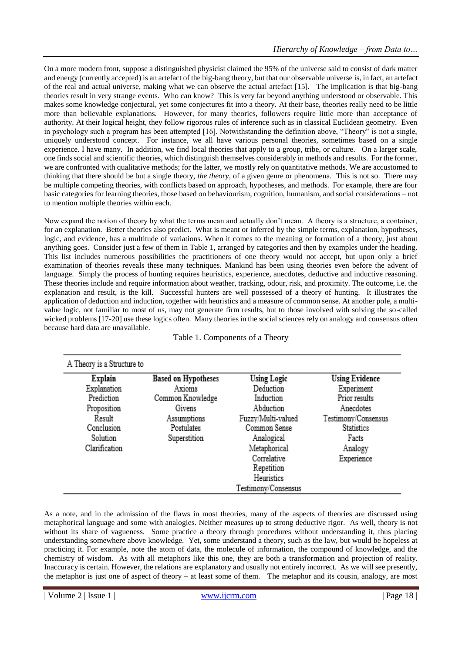On a more modern front, suppose a distinguished physicist claimed the 95% of the universe said to consist of dark matter and energy (currently accepted) is an artefact of the big-bang theory, but that our observable universe is, in fact, an artefact of the real and actual universe, making what we can observe the actual artefact [15]. The implication is that big-bang theories result in very strange events. Who can know? This is very far beyond anything understood or observable. This makes some knowledge conjectural, yet some conjectures fit into a theory. At their base, theories really need to be little more than believable explanations. However, for many theories, followers require little more than acceptance of authority. At their logical height, they follow rigorous rules of inference such as in classical Euclidean geometry. Even in psychology such a program has been attempted [16]. Notwithstanding the definition above, "Theory" is not a single, uniquely understood concept. For instance, we all have various personal theories, sometimes based on a single experience. I have many. In addition, we find local theories that apply to a group, tribe, or culture. On a larger scale, one finds social and scientific theories, which distinguish themselves considerably in methods and results. For the former, we are confronted with qualitative methods; for the latter, we mostly rely on quantitative methods. We are accustomed to thinking that there should be but a single theory, *the theory*, of a given genre or phenomena. This is not so. There may be multiple competing theories, with conflicts based on approach, hypotheses, and methods. For example, there are four basic categories for learning theories, those based on behaviourism, cognition, humanism, and social considerations – not to mention multiple theories within each.

Now expand the notion of theory by what the terms mean and actually don't mean. A theory is a structure, a container, for an explanation. Better theories also predict. What is meant or inferred by the simple terms, explanation, hypotheses, logic, and evidence, has a multitude of variations. When it comes to the meaning or formation of a theory, just about anything goes. Consider just a few of them in Table 1, arranged by categories and then by examples under the heading. This list includes numerous possibilities the practitioners of one theory would not accept, but upon only a brief examination of theories reveals these many techniques. Mankind has been using theories even before the advent of language. Simply the process of hunting requires heuristics, experience, anecdotes, deductive and inductive reasoning. These theories include and require information about weather, tracking, odour, risk, and proximity. The outcome, i.e. the explanation and result, is the kill. Successful hunters are well possessed of a theory of hunting. It illustrates the application of deduction and induction, together with heuristics and a measure of common sense. At another pole, a multivalue logic, not familiar to most of us, may not generate firm results, but to those involved with solving the so-called wicked problems [17-20] use these logics often. Many theories in the social sciences rely on analogy and consensus often because hard data are unavailable.

Table 1. Components of a Theory

| A Theory is a Structure to |                            |                     |                       |
|----------------------------|----------------------------|---------------------|-----------------------|
| Explain                    | <b>Based on Hypotheses</b> | <b>Using Logic</b>  | <b>Using Evidence</b> |
| Explanation                | Axioms                     | Deduction           | Experiment            |
| Prediction                 | Common Knowledge           | Induction           | Prior results         |
| Proposition                | Givens                     | Abduction           | Anecdotes             |
| Result                     | Assumptions                | Fuzzy/Multi-valued  | Testimony/Consensus   |
| Conclusion                 | Postulates                 | Common Sense        | Statistics            |
| Solution                   | Superstition               | Analogical          | Facts                 |
| Clarification              |                            | Metaphorical        | Analogy               |
|                            |                            | Correlative         | Experience            |
|                            |                            | Repetition          |                       |
|                            |                            | Heuristics          |                       |
|                            |                            | Testimony/Consensus |                       |

As a note, and in the admission of the flaws in most theories, many of the aspects of theories are discussed using metaphorical language and some with analogies. Neither measures up to strong deductive rigor. As well, theory is not without its share of vagueness. Some practice a theory through procedures without understanding it, thus placing understanding somewhere above knowledge. Yet, some understand a theory, such as the law, but would be hopeless at practicing it. For example, note the atom of data, the molecule of information, the compound of knowledge, and the chemistry of wisdom. As with all metaphors like this one, they are both a transformation and projection of reality. Inaccuracy is certain. However, the relations are explanatory and usually not entirely incorrect. As we will see presently, the metaphor is just one of aspect of theory – at least some of them. The metaphor and its cousin, analogy, are most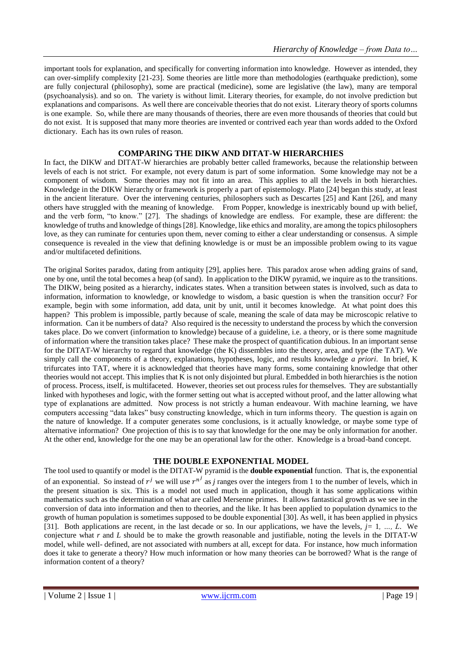important tools for explanation, and specifically for converting information into knowledge. However as intended, they can over-simplify complexity [21-23]. Some theories are little more than methodologies (earthquake prediction), some are fully conjectural (philosophy), some are practical (medicine), some are legislative (the law), many are temporal (psychoanalysis). and so on. The variety is without limit. Literary theories, for example, do not involve prediction but explanations and comparisons. As well there are conceivable theories that do not exist. Literary theory of sports columns is one example. So, while there are many thousands of theories, there are even more thousands of theories that could but do not exist. It is supposed that many more theories are invented or contrived each year than words added to the Oxford dictionary. Each has its own rules of reason.

#### **COMPARING THE DIKW AND DITAT-W HIERARCHIES**

In fact, the DIKW and DITAT-W hierarchies are probably better called frameworks, because the relationship between levels of each is not strict. For example, not every datum is part of some information. Some knowledge may not be a component of wisdom. Some theories may not fit into an area. This applies to all the levels in both hierarchies. Knowledge in the DIKW hierarchy or framework is properly a part of epistemology. Plato [24] began this study, at least in the ancient literature. Over the intervening centuries, philosophers such as Descartes [25] and Kant [26], and many others have struggled with the meaning of knowledge. From Popper, knowledge is inextricably bound up with belief, and the verb form, "to know." [27]. The shadings of knowledge are endless. For example, these are different: the knowledge of truths and knowledge of things [28]. Knowledge, like ethics and morality, are among the topics philosophers love, as they can ruminate for centuries upon them, never coming to either a clear understanding or consensus. A simple consequence is revealed in the view that defining knowledge is or must be an impossible problem owing to its vague and/or multifaceted definitions.

The original Sorites paradox, dating from antiquity [29], applies here. This paradox arose when adding grains of sand, one by one, until the total becomes a heap (of sand). In application to the DIKW pyramid, we inquire as to the transitions. The DIKW, being posited as a hierarchy, indicates states. When a transition between states is involved, such as data to information, information to knowledge, or knowledge to wisdom, a basic question is when the transition occur? For example, begin with some information, add data, unit by unit, until it becomes knowledge. At what point does this happen? This problem is impossible, partly because of scale, meaning the scale of data may be microscopic relative to information. Can it be numbers of data? Also required is the necessity to understand the process by which the conversion takes place. Do we convert (information to knowledge) because of a guideline, i.e. a theory, or is there some magnitude of information where the transition takes place? These make the prospect of quantification dubious. In an important sense for the DITAT-W hierarchy to regard that knowledge (the K) dissembles into the theory, area, and type (the TAT). We simply call the components of a theory, explanations, hypotheses, logic, and results knowledge *a priori*. In brief, K trifurcates into TAT, where it is acknowledged that theories have many forms, some containing knowledge that other theories would not accept. This implies that K is not only disjointed but plural. Embedded in both hierarchies is the notion of process. Process, itself, is multifaceted. However, theories set out process rules for themselves. They are substantially linked with hypotheses and logic, with the former setting out what is accepted without proof, and the latter allowing what type of explanations are admitted. Now process is not strictly a human endeavour. With machine learning, we have computers accessing "data lakes" busy constructing knowledge, which in turn informs theory. The question is again on the nature of knowledge. If a computer generates some conclusions, is it actually knowledge, or maybe some type of alternative information? One projection of this is to say that knowledge for the one may be only information for another. At the other end, knowledge for the one may be an operational law for the other. Knowledge is a broad-band concept.

#### **THE DOUBLE EXPONENTIAL MODEL**

The tool used to quantify or model is the DITAT-W pyramid is the **double exponential** function. That is, the exponential of an exponential. So instead of  $r^j$  we will use  $r^{n^j}$  as *j* ranges over the integers from 1 to the number of levels, which in the present situation is six. This is a model not used much in application, though it has some applications within mathematics such as the determination of what are called Mersenne primes. It allows fantastical growth as we see in the conversion of data into information and then to theories, and the like. It has been applied to population dynamics to the growth of human population is sometimes supposed to be double exponential [30]. As well, it has been applied in physics [31]. Both applications are recent, in the last decade or so. In our applications, we have the levels, *j=* 1*, …, L*. We conjecture what *r* and *L* should be to make the growth reasonable and justifiable, noting the levels in the DITAT-W model, while well- defined, are not associated with numbers at all, except for data. For instance, how much information does it take to generate a theory? How much information or how many theories can be borrowed? What is the range of information content of a theory?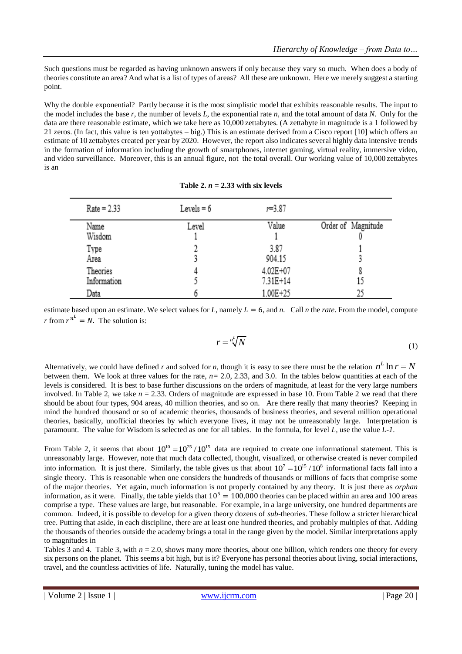Such questions must be regarded as having unknown answers if only because they vary so much. When does a body of theories constitute an area? And what is a list of types of areas? All these are unknown. Here we merely suggest a starting point.

Why the double exponential? Partly because it is the most simplistic model that exhibits reasonable results. The input to the model includes the base *r*, the number of levels *L*, the exponential rate *n*, and the total amount of data *N*. Only for the data are there reasonable estimate, which we take here as 10,000 zettabytes. (A zettabyte in magnitude is a 1 followed by 21 zeros. (In fact, this value is ten yottabytes – big.) This is an estimate derived from a Cisco report [10] which offers an estimate of 10 zettabytes created per year by 2020. However, the report also indicates several highly data intensive trends in the formation of information including the growth of smartphones, internet gaming, virtual reality, immersive video, and video surveillance. Moreover, this is an annual figure, not the total overall. Our working value of 10,000 zettabytes is an

| $Rate = 2.33$           | Levels $= 6$ | $r = 3.87$           |                    |
|-------------------------|--------------|----------------------|--------------------|
| Name<br>Wisdom          | Level        | Value                | Order of Magnitude |
| Type<br>Area            |              | 3.87<br>904.15       |                    |
| Theories<br>Information |              | 4.02E+07<br>7.31E+14 | 15                 |
| Data                    |              | 1.00E+25             | ንና                 |

Table 2.  $n = 2.33$  with six levels

estimate based upon an estimate. We select values for *L*, namely  $L = 6$ , and *n*. Call *n* the *rate*. From the model, compute *r* from  $r^{n^L} = N$ . The solution is:

$$
r = \sqrt[n]{N} \tag{1}
$$

Alternatively, we could have defined *r* and solved for *n*, though it is easy to see there must be the relation  $n^L \ln r = N$ between them. We look at three values for the rate,  $n = 2.0, 2.33$ , and 3.0. In the tables below quantities at each of the levels is considered. It is best to base further discussions on the orders of magnitude, at least for the very large numbers involved. In Table 2, we take  $n = 2.33$ . Orders of magnitude are expressed in base 10. From Table 2 we read that there should be about four types, 904 areas, 40 million theories, and so on. Are there really that many theories? Keeping in mind the hundred thousand or so of academic theories, thousands of business theories, and several million operational theories, basically, unofficial theories by which everyone lives, it may not be unreasonably large. Interpretation is paramount. The value for Wisdom is selected as one for all tables. In the formula, for level *L,* use the value *L-1*.

From Table 2, it seems that about  $10^{10} = 10^{25} / 10^{15}$  data are required to create one informational statement. This is unreasonably large. However, note that much data collected, thought, visualized, or otherwise created is never compiled into information. It is just there. Similarly, the table gives us that about  $10^7 = 10^{15} / 10^8$  informational facts fall into a single theory. This is reasonable when one considers the hundreds of thousands or millions of facts that comprise some of the major theories. Yet again, much information is not properly contained by any theory. It is just there as *orphan* information, as it were. Finally, the table yields that  $10^5 = 100,000$  theories can be placed within an area and 100 areas comprise a type. These values are large, but reasonable. For example, in a large university, one hundred departments are common. Indeed, it is possible to develop for a given theory dozens of *sub*-theories. These follow a stricter hierarchical tree. Putting that aside, in each discipline, there are at least one hundred theories, and probably multiples of that. Adding the thousands of theories outside the academy brings a total in the range given by the model. Similar interpretations apply to magnitudes in

Tables 3 and 4. Table 3, with  $n = 2.0$ , shows many more theories, about one billion, which renders one theory for every six persons on the planet. This seems a bit high, but is it? Everyone has personal theories about living, social interactions, travel, and the countless activities of life. Naturally, tuning the model has value.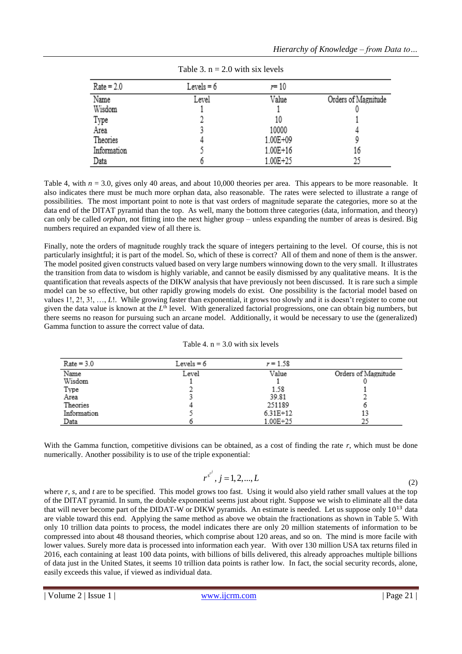| $Rate = 2.0$ | Levels $= 6$ | $r=10$   |                     |
|--------------|--------------|----------|---------------------|
| Name         | Level        | Value    | Orders of Magnitude |
| Wisdom       |              |          |                     |
| Type         |              | 10       |                     |
| Area         |              | 10000    |                     |
| Theories     |              | 1.00E+09 |                     |
| Information  |              | 1.00E+16 | 16                  |
| Data         |              | 1.00E+25 | 25                  |

Table 4, with  $n = 3.0$ , gives only 40 areas, and about 10,000 theories per area. This appears to be more reasonable. It also indicates there must be much more orphan data, also reasonable. The rates were selected to illustrate a range of possibilities. The most important point to note is that vast orders of magnitude separate the categories, more so at the data end of the DITAT pyramid than the top. As well, many the bottom three categories (data, information, and theory) can only be called *orphan*, not fitting into the next higher group – unless expanding the number of areas is desired. Big numbers required an expanded view of all there is.

Finally, note the orders of magnitude roughly track the square of integers pertaining to the level. Of course, this is not particularly insightful; it is part of the model. So, which of these is correct? All of them and none of them is the answer. The model posited given constructs valued based on very large numbers winnowing down to the very small. It illustrates the transition from data to wisdom is highly variable, and cannot be easily dismissed by any qualitative means. It is the quantification that reveals aspects of the DIKW analysis that have previously not been discussed. It is rare such a simple model can be so effective, but other rapidly growing models do exist. One possibility is the factorial model based on values 1!, 2!, 3!, …, *L*!. While growing faster than exponential, it grows too slowly and it is doesn't register to come out given the data value is known at the L<sup>th</sup> level. With generalized factorial progressions, one can obtain big numbers, but there seems no reason for pursuing such an arcane model. Additionally, it would be necessary to use the (generalized) Gamma function to assure the correct value of data.

| $Rate = 3.0$ | Levels $= 6$ | $r = 1.58$ |                     |
|--------------|--------------|------------|---------------------|
| Name         | Level        | Value      | Orders of Magnitude |
| Wisdom       |              |            |                     |
| Type         |              | 1.58       |                     |
| Area         |              | 39.81      |                     |
| Theories     |              | 251189     |                     |
| Information  |              | $6.31E+12$ | 13                  |
| Data         |              | 1.00E+25   | 25                  |

With the Gamma function, competitive divisions can be obtained, as a cost of finding the rate r, which must be done numerically. Another possibility is to use of the triple exponential:

$$
r^{s^{t^j}}, j = 1, 2, \dots, L
$$
 (2)

where *r*, *s*, and *t* are to be specified. This model grows too fast. Using it would also yield rather small values at the top of the DITAT pyramid. In sum, the double exponential seems just about right. Suppose we wish to eliminate all the data that will never become part of the DIDAT-W or DIKW pyramids. An estimate is needed. Let us suppose only  $10^{13}$  data are viable toward this end. Applying the same method as above we obtain the fractionations as shown in Table 5. With only 10 trillion data points to process, the model indicates there are only 20 million statements of information to be compressed into about 48 thousand theories, which comprise about 120 areas, and so on. The mind is more facile with lower values. Surely more data is processed into information each year. With over 130 million USA tax returns filed in 2016, each containing at least 100 data points, with billions of bills delivered, this already approaches multiple billions of data just in the United States, it seems 10 trillion data points is rather low. In fact, the social security records, alone, easily exceeds this value, if viewed as individual data.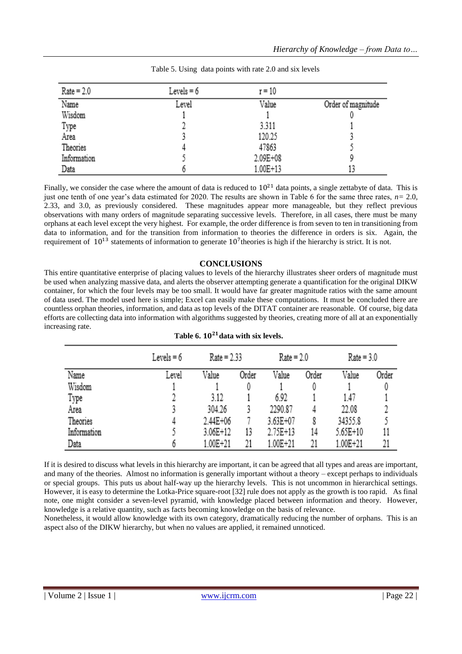| $Rate = 2.0$ | Levels $= 6$ | $r = 10$ |                    |
|--------------|--------------|----------|--------------------|
| Name         | Level        | Value    | Order of magnitude |
| Wisdom       |              |          |                    |
| Type         |              | 3.311    |                    |
| Area         |              | 120.25   |                    |
| Theories     |              | 47863    |                    |
| Information  |              | 2.09E+08 |                    |
| Data         |              | 1.00E+13 |                    |

Finally, we consider the case where the amount of data is reduced to  $10^{21}$  data points, a single zettabyte of data. This is just one tenth of one year's data estimated for 2020. The results are shown in Table 6 for the same three rates, *n=* 2.0, 2.33, and 3.0, as previously considered. These magnitudes appear more manageable, but they reflect previous observations with many orders of magnitude separating successive levels. Therefore, in all cases, there must be many orphans at each level except the very highest. For example, the order difference is from seven to ten in transitioning from data to information, and for the transition from information to theories the difference in orders is six. Again, the requirement of  $10^{13}$  statements of information to generate  $10^7$ theories is high if the hierarchy is strict. It is not.

### **CONCLUSIONS**

This entire quantitative enterprise of placing values to levels of the hierarchy illustrates sheer orders of magnitude must be used when analyzing massive data, and alerts the observer attempting generate a quantification for the original DIKW container, for which the four levels may be too small. It would have far greater magnitude ratios with the same amount of data used. The model used here is simple; Excel can easily make these computations. It must be concluded there are countless orphan theories, information, and data as top levels of the DITAT container are reasonable. Of course, big data efforts are collecting data into information with algorithms suggested by theories, creating more of all at an exponentially increasing rate.

|             | Levels $= 6$ | $Rate = 2.33$ |       | $Rate = 2.0$ |       | $Rate = 3.0$ |       |
|-------------|--------------|---------------|-------|--------------|-------|--------------|-------|
| Name        | Level        | Value         | Order | Value        | Order | Value        | Order |
| Wisdom      |              |               |       |              | 0     |              |       |
| Type        |              | 3.12          |       | 6.92         |       | 1.47         |       |
| Area        |              | 304.26        |       | 2290.87      | 4     | 22.08        |       |
| Theories    |              | 2.44E+06      |       | 3.63E+07     | 8     | 34355.8      |       |
| Information |              | 3.06E+12      | 13    | 2.75E+13     | 14    | 5.65E+10     | 11    |
| Data        |              | 1.00E+21      | 21    | 1.00E+21     | 21    | 1.00E+21     | 21    |

If it is desired to discuss what levels in this hierarchy are important, it can be agreed that all types and areas are important, and many of the theories. Almost no information is generally important without a theory – except perhaps to individuals or special groups. This puts us about half-way up the hierarchy levels. This is not uncommon in hierarchical settings. However, it is easy to determine the Lotka-Price square-root [32] rule does not apply as the growth is too rapid. As final note, one might consider a seven-level pyramid, with knowledge placed between information and theory. However, knowledge is a relative quantity, such as facts becoming knowledge on the basis of relevance.

Nonetheless, it would allow knowledge with its own category, dramatically reducing the number of orphans. This is an aspect also of the DIKW hierarchy, but when no values are applied, it remained unnoticed.